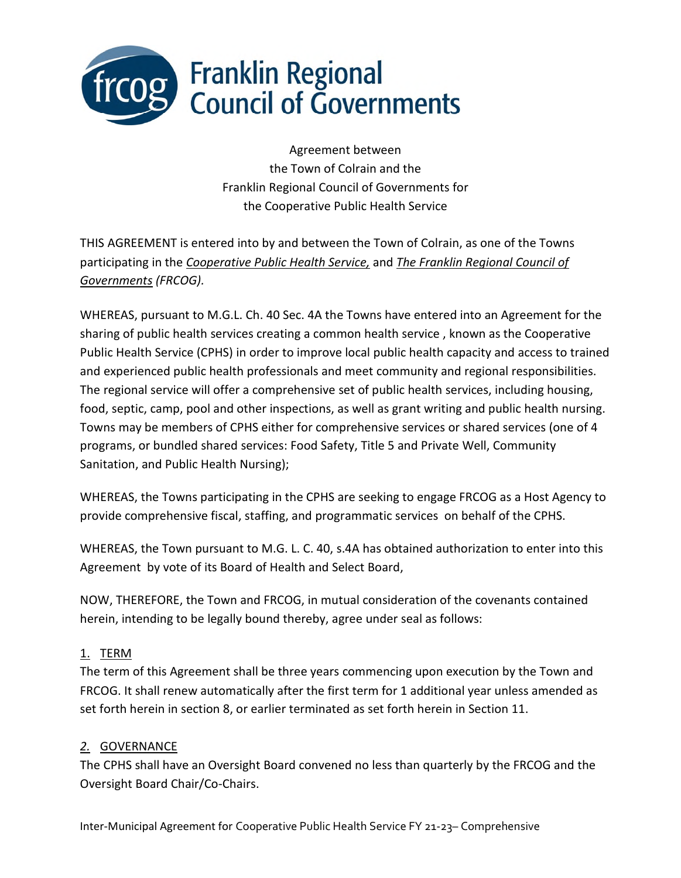

Agreement between the Town of Colrain and the Franklin Regional Council of Governments for the Cooperative Public Health Service

THIS AGREEMENT is entered into by and between the Town of Colrain, as one of the Towns participating in the *Cooperative Public Health Service,* and *The Franklin Regional Council of Governments (FRCOG).* 

WHEREAS, pursuant to M.G.L. Ch. 40 Sec. 4A the Towns have entered into an Agreement for the sharing of public health services creating a common health service , known as the Cooperative Public Health Service (CPHS) in order to improve local public health capacity and access to trained and experienced public health professionals and meet community and regional responsibilities. The regional service will offer a comprehensive set of public health services, including housing, food, septic, camp, pool and other inspections, as well as grant writing and public health nursing. Towns may be members of CPHS either for comprehensive services or shared services (one of 4 programs, or bundled shared services: Food Safety, Title 5 and Private Well, Community Sanitation, and Public Health Nursing);

WHEREAS, the Towns participating in the CPHS are seeking to engage FRCOG as a Host Agency to provide comprehensive fiscal, staffing, and programmatic services on behalf of the CPHS.

WHEREAS, the Town pursuant to M.G. L. C. 40, s.4A has obtained authorization to enter into this Agreement by vote of its Board of Health and Select Board,

NOW, THEREFORE, the Town and FRCOG, in mutual consideration of the covenants contained herein, intending to be legally bound thereby, agree under seal as follows:

## 1. TERM

The term of this Agreement shall be three years commencing upon execution by the Town and FRCOG. It shall renew automatically after the first term for 1 additional year unless amended as set forth herein in section 8, or earlier terminated as set forth herein in Section 11.

## *2.* GOVERNANCE

The CPHS shall have an Oversight Board convened no less than quarterly by the FRCOG and the Oversight Board Chair/Co-Chairs.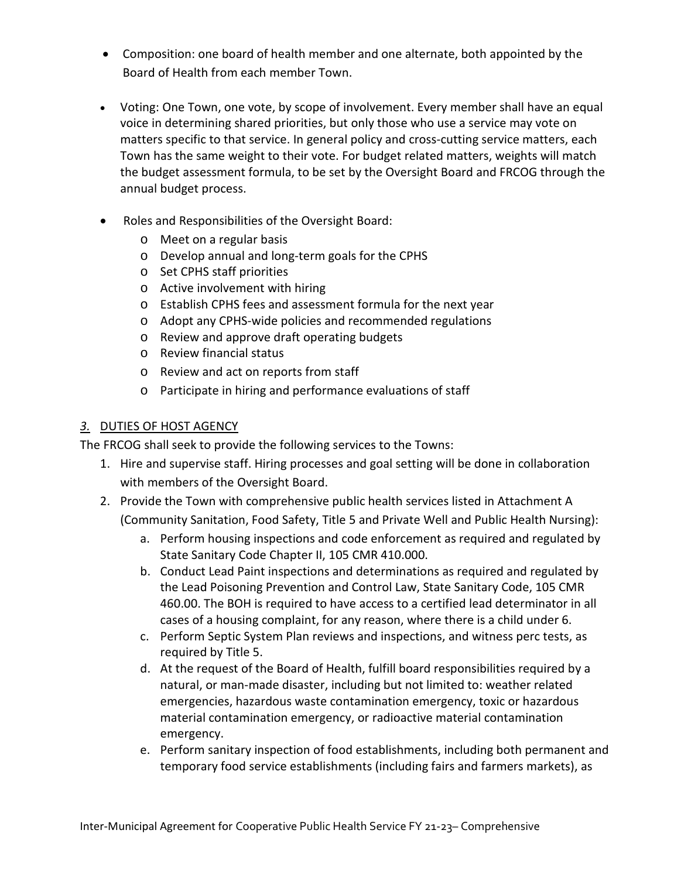- Composition: one board of health member and one alternate, both appointed by the Board of Health from each member Town.
- Voting: One Town, one vote, by scope of involvement. Every member shall have an equal voice in determining shared priorities, but only those who use a service may vote on matters specific to that service. In general policy and cross-cutting service matters, each Town has the same weight to their vote. For budget related matters, weights will match the budget assessment formula, to be set by the Oversight Board and FRCOG through the annual budget process.
- Roles and Responsibilities of the Oversight Board:
	- o Meet on a regular basis
	- o Develop annual and long-term goals for the CPHS
	- o Set CPHS staff priorities
	- o Active involvement with hiring
	- o Establish CPHS fees and assessment formula for the next year
	- o Adopt any CPHS-wide policies and recommended regulations
	- o Review and approve draft operating budgets
	- o Review financial status
	- o Review and act on reports from staff
	- o Participate in hiring and performance evaluations of staff

## *3.* DUTIES OF HOST AGENCY

The FRCOG shall seek to provide the following services to the Towns:

- 1. Hire and supervise staff. Hiring processes and goal setting will be done in collaboration with members of the Oversight Board.
- 2. Provide the Town with comprehensive public health services listed in Attachment A (Community Sanitation, Food Safety, Title 5 and Private Well and Public Health Nursing):
	- a. Perform housing inspections and code enforcement as required and regulated by State Sanitary Code Chapter II, 105 CMR 410.000.
	- b. Conduct Lead Paint inspections and determinations as required and regulated by the Lead Poisoning Prevention and Control Law, State Sanitary Code, 105 CMR 460.00. The BOH is required to have access to a certified lead determinator in all cases of a housing complaint, for any reason, where there is a child under 6.
	- c. Perform Septic System Plan reviews and inspections, and witness perc tests, as required by Title 5.
	- d. At the request of the Board of Health, fulfill board responsibilities required by a natural, or man-made disaster, including but not limited to: weather related emergencies, hazardous waste contamination emergency, toxic or hazardous material contamination emergency, or radioactive material contamination emergency.
	- e. Perform sanitary inspection of food establishments, including both permanent and temporary food service establishments (including fairs and farmers markets), as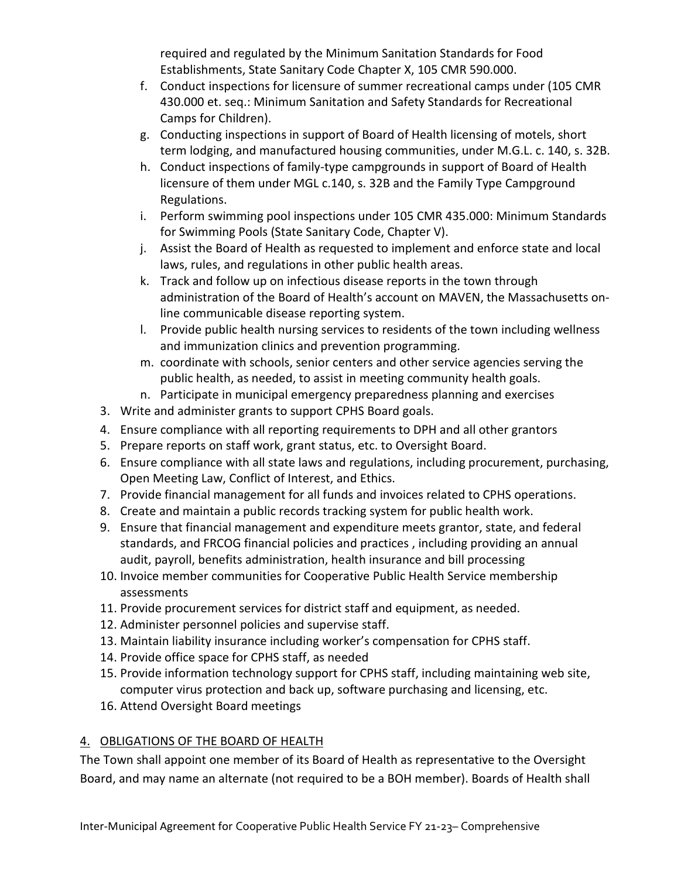required and regulated by the Minimum Sanitation Standards for Food Establishments, State Sanitary Code Chapter X, 105 CMR 590.000.

- f. Conduct inspections for licensure of summer recreational camps under (105 CMR 430.000 et. seq.: Minimum Sanitation and Safety Standards for Recreational Camps for Children).
- g. Conducting inspections in support of Board of Health licensing of motels, short term lodging, and manufactured housing communities, under M.G.L. c. 140, s. 32B.
- h. Conduct inspections of family-type campgrounds in support of Board of Health licensure of them under MGL c.140, s. 32B and the Family Type Campground Regulations.
- i. Perform swimming pool inspections under 105 CMR 435.000: Minimum Standards for Swimming Pools (State Sanitary Code, Chapter V).
- j. Assist the Board of Health as requested to implement and enforce state and local laws, rules, and regulations in other public health areas.
- k. Track and follow up on infectious disease reports in the town through administration of the Board of Health's account on MAVEN, the Massachusetts online communicable disease reporting system.
- l. Provide public health nursing services to residents of the town including wellness and immunization clinics and prevention programming.
- m. coordinate with schools, senior centers and other service agencies serving the public health, as needed, to assist in meeting community health goals.
- n. Participate in municipal emergency preparedness planning and exercises
- 3. Write and administer grants to support CPHS Board goals.
- 4. Ensure compliance with all reporting requirements to DPH and all other grantors
- 5. Prepare reports on staff work, grant status, etc. to Oversight Board.
- 6. Ensure compliance with all state laws and regulations, including procurement, purchasing, Open Meeting Law, Conflict of Interest, and Ethics.
- 7. Provide financial management for all funds and invoices related to CPHS operations.
- 8. Create and maintain a public records tracking system for public health work.
- 9. Ensure that financial management and expenditure meets grantor, state, and federal standards, and FRCOG financial policies and practices , including providing an annual audit, payroll, benefits administration, health insurance and bill processing
- 10. Invoice member communities for Cooperative Public Health Service membership assessments
- 11. Provide procurement services for district staff and equipment, as needed.
- 12. Administer personnel policies and supervise staff.
- 13. Maintain liability insurance including worker's compensation for CPHS staff.
- 14. Provide office space for CPHS staff, as needed
- 15. Provide information technology support for CPHS staff, including maintaining web site, computer virus protection and back up, software purchasing and licensing, etc.
- 16. Attend Oversight Board meetings

# 4. OBLIGATIONS OF THE BOARD OF HEALTH

The Town shall appoint one member of its Board of Health as representative to the Oversight Board, and may name an alternate (not required to be a BOH member). Boards of Health shall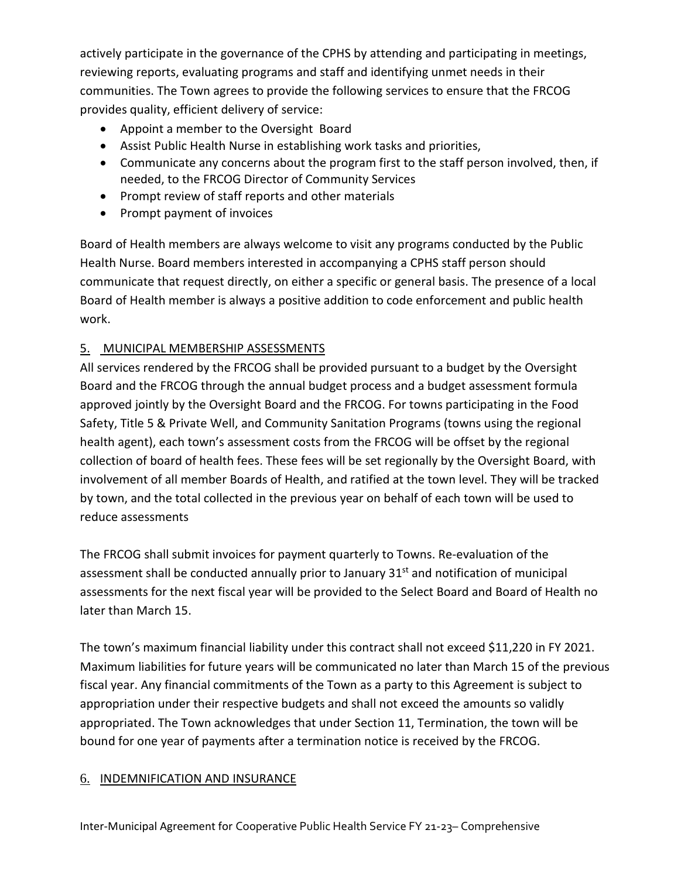actively participate in the governance of the CPHS by attending and participating in meetings, reviewing reports, evaluating programs and staff and identifying unmet needs in their communities. The Town agrees to provide the following services to ensure that the FRCOG provides quality, efficient delivery of service:

- Appoint a member to the Oversight Board
- Assist Public Health Nurse in establishing work tasks and priorities,
- Communicate any concerns about the program first to the staff person involved, then, if needed, to the FRCOG Director of Community Services
- Prompt review of staff reports and other materials
- Prompt payment of invoices

Board of Health members are always welcome to visit any programs conducted by the Public Health Nurse. Board members interested in accompanying a CPHS staff person should communicate that request directly, on either a specific or general basis. The presence of a local Board of Health member is always a positive addition to code enforcement and public health work.

# 5. MUNICIPAL MEMBERSHIP ASSESSMENTS

All services rendered by the FRCOG shall be provided pursuant to a budget by the Oversight Board and the FRCOG through the annual budget process and a budget assessment formula approved jointly by the Oversight Board and the FRCOG. For towns participating in the Food Safety, Title 5 & Private Well, and Community Sanitation Programs (towns using the regional health agent), each town's assessment costs from the FRCOG will be offset by the regional collection of board of health fees. These fees will be set regionally by the Oversight Board, with involvement of all member Boards of Health, and ratified at the town level. They will be tracked by town, and the total collected in the previous year on behalf of each town will be used to reduce assessments

The FRCOG shall submit invoices for payment quarterly to Towns. Re-evaluation of the assessment shall be conducted annually prior to January  $31<sup>st</sup>$  and notification of municipal assessments for the next fiscal year will be provided to the Select Board and Board of Health no later than March 15.

The town's maximum financial liability under this contract shall not exceed \$11,220 in FY 2021. Maximum liabilities for future years will be communicated no later than March 15 of the previous fiscal year. Any financial commitments of the Town as a party to this Agreement is subject to appropriation under their respective budgets and shall not exceed the amounts so validly appropriated. The Town acknowledges that under Section 11, Termination, the town will be bound for one year of payments after a termination notice is received by the FRCOG.

## 6. INDEMNIFICATION AND INSURANCE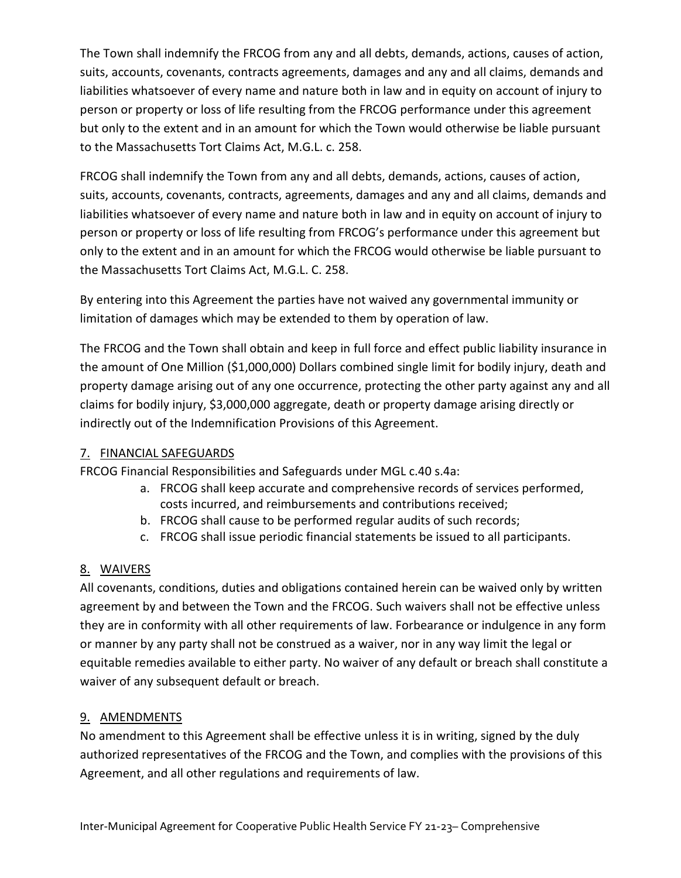The Town shall indemnify the FRCOG from any and all debts, demands, actions, causes of action, suits, accounts, covenants, contracts agreements, damages and any and all claims, demands and liabilities whatsoever of every name and nature both in law and in equity on account of injury to person or property or loss of life resulting from the FRCOG performance under this agreement but only to the extent and in an amount for which the Town would otherwise be liable pursuant to the Massachusetts Tort Claims Act, M.G.L. c. 258.

FRCOG shall indemnify the Town from any and all debts, demands, actions, causes of action, suits, accounts, covenants, contracts, agreements, damages and any and all claims, demands and liabilities whatsoever of every name and nature both in law and in equity on account of injury to person or property or loss of life resulting from FRCOG's performance under this agreement but only to the extent and in an amount for which the FRCOG would otherwise be liable pursuant to the Massachusetts Tort Claims Act, M.G.L. C. 258.

By entering into this Agreement the parties have not waived any governmental immunity or limitation of damages which may be extended to them by operation of law.

The FRCOG and the Town shall obtain and keep in full force and effect public liability insurance in the amount of One Million (\$1,000,000) Dollars combined single limit for bodily injury, death and property damage arising out of any one occurrence, protecting the other party against any and all claims for bodily injury, \$3,000,000 aggregate, death or property damage arising directly or indirectly out of the Indemnification Provisions of this Agreement.

## 7. FINANCIAL SAFEGUARDS

FRCOG Financial Responsibilities and Safeguards under MGL c.40 s.4a:

- a. FRCOG shall keep accurate and comprehensive records of services performed, costs incurred, and reimbursements and contributions received;
- b. FRCOG shall cause to be performed regular audits of such records;
- c. FRCOG shall issue periodic financial statements be issued to all participants.

## 8. WAIVERS

All covenants, conditions, duties and obligations contained herein can be waived only by written agreement by and between the Town and the FRCOG. Such waivers shall not be effective unless they are in conformity with all other requirements of law. Forbearance or indulgence in any form or manner by any party shall not be construed as a waiver, nor in any way limit the legal or equitable remedies available to either party. No waiver of any default or breach shall constitute a waiver of any subsequent default or breach.

## 9. AMENDMENTS

No amendment to this Agreement shall be effective unless it is in writing, signed by the duly authorized representatives of the FRCOG and the Town, and complies with the provisions of this Agreement, and all other regulations and requirements of law.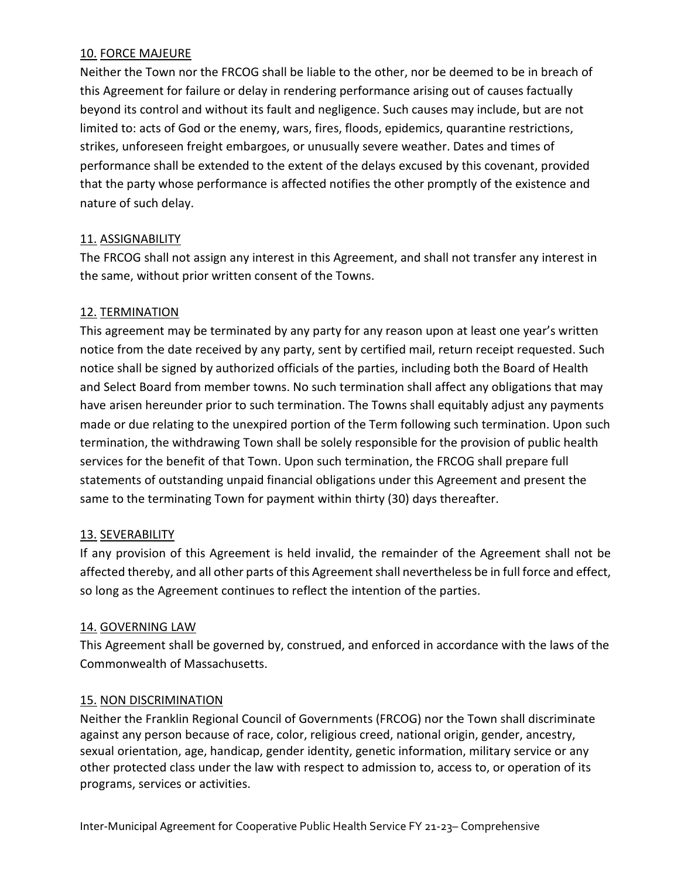#### 10. FORCE MAJEURE

Neither the Town nor the FRCOG shall be liable to the other, nor be deemed to be in breach of this Agreement for failure or delay in rendering performance arising out of causes factually beyond its control and without its fault and negligence. Such causes may include, but are not limited to: acts of God or the enemy, wars, fires, floods, epidemics, quarantine restrictions, strikes, unforeseen freight embargoes, or unusually severe weather. Dates and times of performance shall be extended to the extent of the delays excused by this covenant, provided that the party whose performance is affected notifies the other promptly of the existence and nature of such delay.

## 11. ASSIGNABILITY

The FRCOG shall not assign any interest in this Agreement, and shall not transfer any interest in the same, without prior written consent of the Towns.

### 12. TERMINATION

This agreement may be terminated by any party for any reason upon at least one year's written notice from the date received by any party, sent by certified mail, return receipt requested. Such notice shall be signed by authorized officials of the parties, including both the Board of Health and Select Board from member towns. No such termination shall affect any obligations that may have arisen hereunder prior to such termination. The Towns shall equitably adjust any payments made or due relating to the unexpired portion of the Term following such termination. Upon such termination, the withdrawing Town shall be solely responsible for the provision of public health services for the benefit of that Town. Upon such termination, the FRCOG shall prepare full statements of outstanding unpaid financial obligations under this Agreement and present the same to the terminating Town for payment within thirty (30) days thereafter.

### 13. SEVERABILITY

If any provision of this Agreement is held invalid, the remainder of the Agreement shall not be affected thereby, and all other parts of this Agreement shall nevertheless be in full force and effect, so long as the Agreement continues to reflect the intention of the parties.

### 14. GOVERNING LAW

This Agreement shall be governed by, construed, and enforced in accordance with the laws of the Commonwealth of Massachusetts.

### 15. NON DISCRIMINATION

Neither the Franklin Regional Council of Governments (FRCOG) nor the Town shall discriminate against any person because of race, color, religious creed, national origin, gender, ancestry, sexual orientation, age, handicap, gender identity, genetic information, military service or any other protected class under the law with respect to admission to, access to, or operation of its programs, services or activities.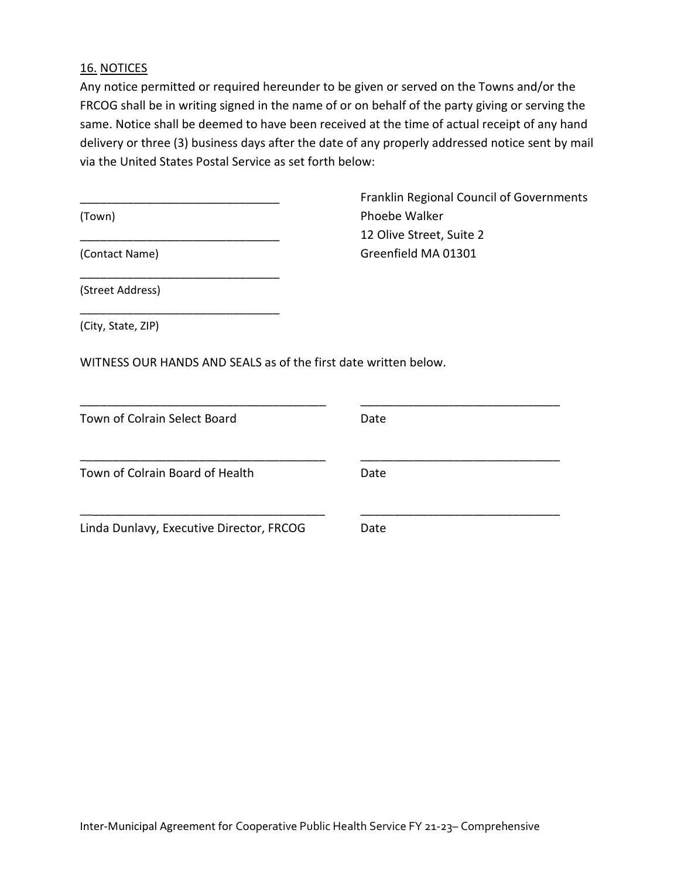#### 16. NOTICES

Any notice permitted or required hereunder to be given or served on the Towns and/or the FRCOG shall be in writing signed in the name of or on behalf of the party giving or serving the same. Notice shall be deemed to have been received at the time of actual receipt of any hand delivery or three (3) business days after the date of any properly addressed notice sent by mail via the United States Postal Service as set forth below:

Franklin Regional Council of Governments (Town) **Phoebe Walker** 12 Olive Street, Suite 2 (Contact Name) Greenfield MA 01301

(Street Address)

(City, State, ZIP)

WITNESS OUR HANDS AND SEALS as of the first date written below.

| Town of Colrain Select Board | Date |
|------------------------------|------|
|------------------------------|------|

\_\_\_\_\_\_\_\_\_\_\_\_\_\_\_\_\_\_\_\_\_\_\_\_\_\_\_\_\_\_

\_\_\_\_\_\_\_\_\_\_\_\_\_\_\_\_\_\_\_\_\_\_\_\_\_\_\_\_\_\_

\_\_\_\_\_\_\_\_\_\_\_\_\_\_\_\_\_\_\_\_\_\_\_\_\_\_\_\_\_\_\_\_\_\_\_\_\_ \_\_\_\_\_\_\_\_\_\_\_\_\_\_\_\_\_\_\_\_\_\_\_\_\_\_\_\_\_\_

\_\_\_\_\_\_\_\_\_\_\_\_\_\_\_\_\_\_\_\_\_\_\_\_\_\_\_\_\_\_\_\_\_\_\_\_\_ \_\_\_\_\_\_\_\_\_\_\_\_\_\_\_\_\_\_\_\_\_\_\_\_\_\_\_\_\_\_

\_\_\_\_\_\_\_\_\_\_\_\_\_\_\_\_\_\_\_\_\_\_\_\_\_\_\_\_\_\_\_\_\_\_\_\_\_ \_\_\_\_\_\_\_\_\_\_\_\_\_\_\_\_\_\_\_\_\_\_\_\_\_\_\_\_\_\_

Town of Colrain Board of Health Date

Linda Dunlavy, Executive Director, FRCOG Date

Inter-Municipal Agreement for Cooperative Public Health Service FY 21-23– Comprehensive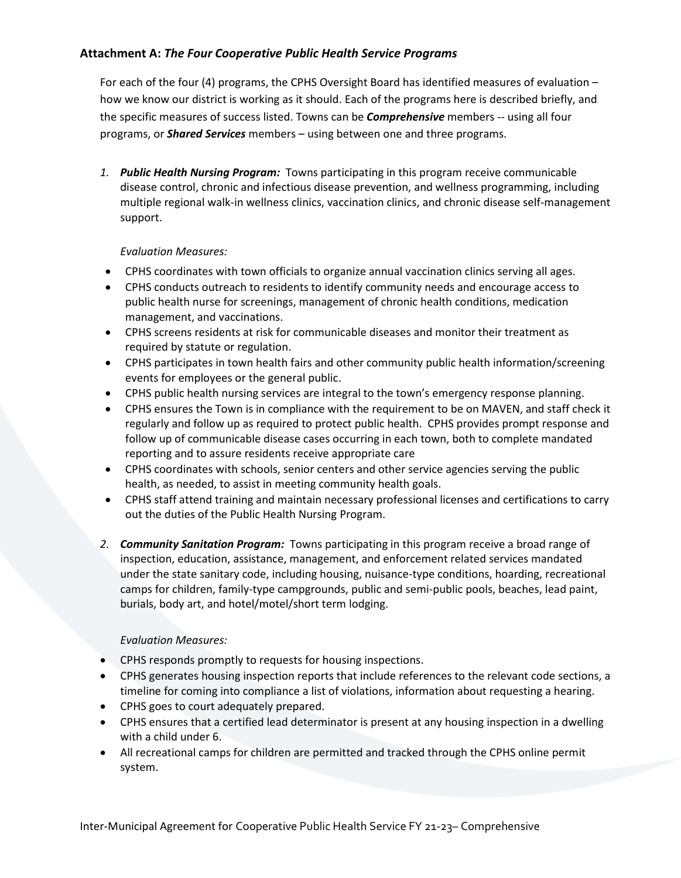#### **Attachment A:** *The Four Cooperative Public Health Service Programs*

For each of the four (4) programs, the CPHS Oversight Board has identified measures of evaluation – how we know our district is working as it should. Each of the programs here is described briefly, and the specific measures of success listed. Towns can be *Comprehensive* members -- using all four programs, or *Shared Services* members – using between one and three programs.

*1. Public Health Nursing Program:* Towns participating in this program receive communicable disease control, chronic and infectious disease prevention, and wellness programming, including multiple regional walk-in wellness clinics, vaccination clinics, and chronic disease self-management support.

#### *Evaluation Measures:*

- CPHS coordinates with town officials to organize annual vaccination clinics serving all ages.
- CPHS conducts outreach to residents to identify community needs and encourage access to public health nurse for screenings, management of chronic health conditions, medication management, and vaccinations.
- CPHS screens residents at risk for communicable diseases and monitor their treatment as required by statute or regulation.
- CPHS participates in town health fairs and other community public health information/screening events for employees or the general public.
- CPHS public health nursing services are integral to the town's emergency response planning.
- CPHS ensures the Town is in compliance with the requirement to be on MAVEN, and staff check it regularly and follow up as required to protect public health. CPHS provides prompt response and follow up of communicable disease cases occurring in each town, both to complete mandated reporting and to assure residents receive appropriate care
- CPHS coordinates with schools, senior centers and other service agencies serving the public health, as needed, to assist in meeting community health goals.
- CPHS staff attend training and maintain necessary professional licenses and certifications to carry out the duties of the Public Health Nursing Program.
- *2. Community Sanitation Program:* Towns participating in this program receive a broad range of inspection, education, assistance, management, and enforcement related services mandated under the state sanitary code, including housing, nuisance-type conditions, hoarding, recreational camps for children, family-type campgrounds, public and semi-public pools, beaches, lead paint, burials, body art, and hotel/motel/short term lodging.

#### *Evaluation Measures:*

- CPHS responds promptly to requests for housing inspections.
- CPHS generates housing inspection reports that include references to the relevant code sections, a timeline for coming into compliance a list of violations, information about requesting a hearing.
- CPHS goes to court adequately prepared.
- CPHS ensures that a certified lead determinator is present at any housing inspection in a dwelling with a child under 6.
- All recreational camps for children are permitted and tracked through the CPHS online permit system.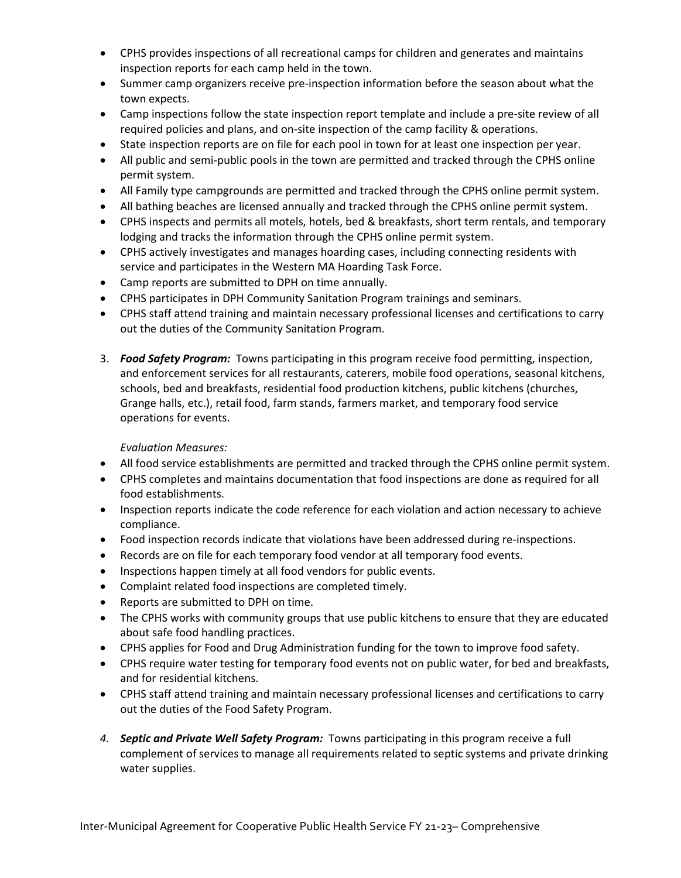- CPHS provides inspections of all recreational camps for children and generates and maintains inspection reports for each camp held in the town.
- Summer camp organizers receive pre-inspection information before the season about what the town expects.
- Camp inspections follow the state inspection report template and include a pre-site review of all required policies and plans, and on-site inspection of the camp facility & operations.
- State inspection reports are on file for each pool in town for at least one inspection per year.
- All public and semi-public pools in the town are permitted and tracked through the CPHS online permit system.
- All Family type campgrounds are permitted and tracked through the CPHS online permit system.
- All bathing beaches are licensed annually and tracked through the CPHS online permit system.
- CPHS inspects and permits all motels, hotels, bed & breakfasts, short term rentals, and temporary lodging and tracks the information through the CPHS online permit system.
- CPHS actively investigates and manages hoarding cases, including connecting residents with service and participates in the Western MA Hoarding Task Force.
- Camp reports are submitted to DPH on time annually.
- CPHS participates in DPH Community Sanitation Program trainings and seminars.
- CPHS staff attend training and maintain necessary professional licenses and certifications to carry out the duties of the Community Sanitation Program.
- 3. *Food Safety Program:* Towns participating in this program receive food permitting, inspection, and enforcement services for all restaurants, caterers, mobile food operations, seasonal kitchens, schools, bed and breakfasts, residential food production kitchens, public kitchens (churches, Grange halls, etc.), retail food, farm stands, farmers market, and temporary food service operations for events.

#### *Evaluation Measures:*

- All food service establishments are permitted and tracked through the CPHS online permit system.
- CPHS completes and maintains documentation that food inspections are done as required for all food establishments.
- Inspection reports indicate the code reference for each violation and action necessary to achieve compliance.
- Food inspection records indicate that violations have been addressed during re-inspections.
- Records are on file for each temporary food vendor at all temporary food events.
- Inspections happen timely at all food vendors for public events.
- Complaint related food inspections are completed timely.
- Reports are submitted to DPH on time.
- The CPHS works with community groups that use public kitchens to ensure that they are educated about safe food handling practices.
- CPHS applies for Food and Drug Administration funding for the town to improve food safety.
- CPHS require water testing for temporary food events not on public water, for bed and breakfasts, and for residential kitchens.
- CPHS staff attend training and maintain necessary professional licenses and certifications to carry out the duties of the Food Safety Program.
- *4. Septic and Private Well Safety Program:* Towns participating in this program receive a full complement of services to manage all requirements related to septic systems and private drinking water supplies.